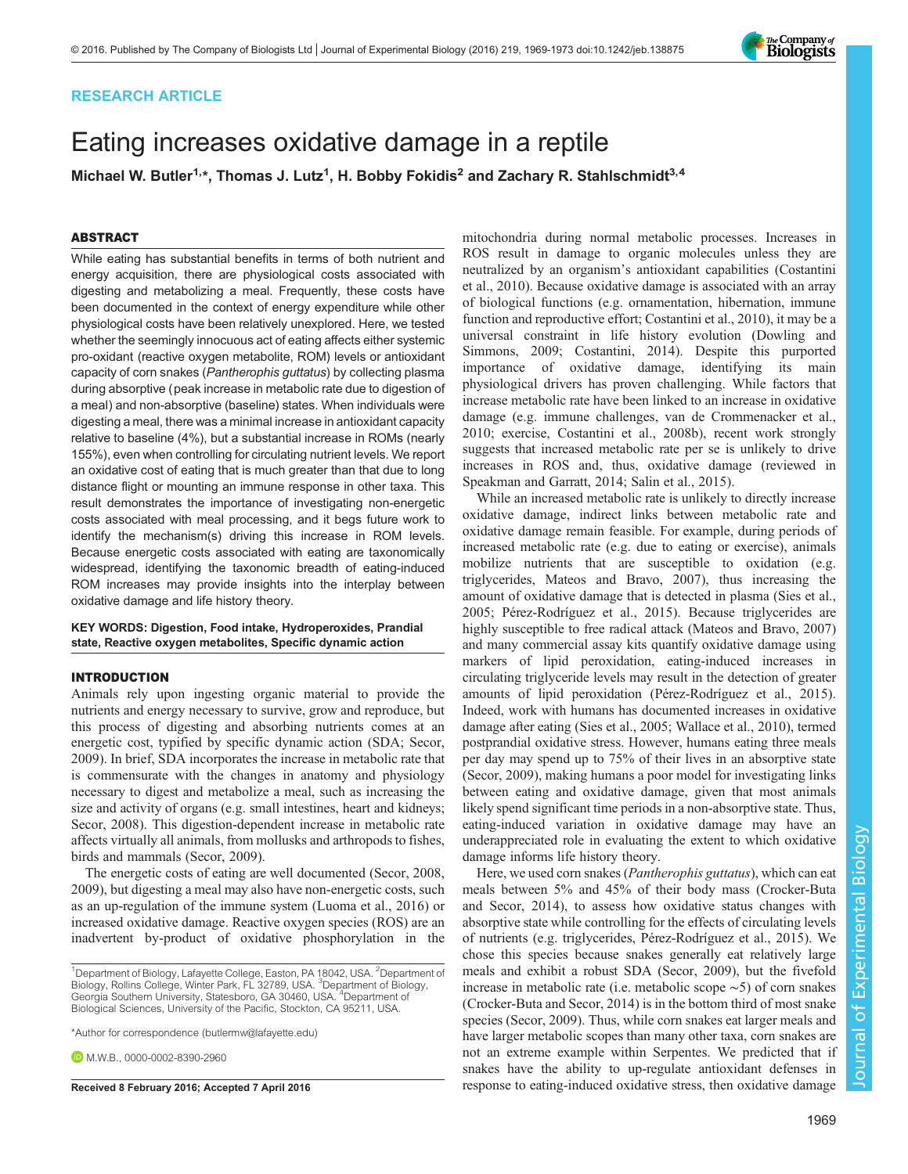# RESEARCH ARTICLE

# Eating increases oxidative damage in a reptile

Michael W. Butler<sup>1,\*</sup>, Thomas J. Lutz<sup>1</sup>, H. Bobby Fokidis<sup>2</sup> and Zachary R. Stahlschmidt<sup>3,4</sup>

# ABSTRACT

While eating has substantial benefits in terms of both nutrient and energy acquisition, there are physiological costs associated with digesting and metabolizing a meal. Frequently, these costs have been documented in the context of energy expenditure while other physiological costs have been relatively unexplored. Here, we tested whether the seemingly innocuous act of eating affects either systemic pro-oxidant (reactive oxygen metabolite, ROM) levels or antioxidant capacity of corn snakes (Pantherophis guttatus) by collecting plasma during absorptive (peak increase in metabolic rate due to digestion of a meal) and non-absorptive (baseline) states. When individuals were digesting a meal, there was a minimal increase in antioxidant capacity relative to baseline (4%), but a substantial increase in ROMs (nearly 155%), even when controlling for circulating nutrient levels. We report an oxidative cost of eating that is much greater than that due to long distance flight or mounting an immune response in other taxa. This result demonstrates the importance of investigating non-energetic costs associated with meal processing, and it begs future work to identify the mechanism(s) driving this increase in ROM levels. Because energetic costs associated with eating are taxonomically widespread, identifying the taxonomic breadth of eating-induced ROM increases may provide insights into the interplay between oxidative damage and life history theory.

### KEY WORDS: Digestion, Food intake, Hydroperoxides, Prandial state, Reactive oxygen metabolites, Specific dynamic action

## INTRODUCTION

Animals rely upon ingesting organic material to provide the nutrients and energy necessary to survive, grow and reproduce, but this process of digesting and absorbing nutrients comes at an energetic cost, typified by specific dynamic action (SDA; [Secor,](#page-4-0) [2009](#page-4-0)). In brief, SDA incorporates the increase in metabolic rate that is commensurate with the changes in anatomy and physiology necessary to digest and metabolize a meal, such as increasing the size and activity of organs (e.g. small intestines, heart and kidneys; [Secor, 2008\)](#page-4-0). This digestion-dependent increase in metabolic rate affects virtually all animals, from mollusks and arthropods to fishes, birds and mammals [\(Secor, 2009\)](#page-4-0).

The energetic costs of eating are well documented [\(Secor, 2008,](#page-4-0) [2009](#page-4-0)), but digesting a meal may also have non-energetic costs, such as an up-regulation of the immune system ([Luoma et al., 2016](#page-4-0)) or increased oxidative damage. Reactive oxygen species (ROS) are an inadvertent by-product of oxidative phosphorylation in the

\*Author for correspondence [\(butlermw@lafayette.edu](mailto:butlermw@lafayette.edu))

**D.** M. W.B., [0000-0002-8390-2960](http://orcid.org/0000-0002-8390-2960)

mitochondria during normal metabolic processes. Increases in ROS result in damage to organic molecules unless they are neutralized by an organism's antioxidant capabilities ([Costantini](#page-4-0) [et al., 2010](#page-4-0)). Because oxidative damage is associated with an array of biological functions (e.g. ornamentation, hibernation, immune function and reproductive effort; [Costantini et al., 2010\)](#page-4-0), it may be a universal constraint in life history evolution [\(Dowling and](#page-4-0) [Simmons, 2009](#page-4-0); [Costantini, 2014](#page-3-0)). Despite this purported importance of oxidative damage, identifying its main physiological drivers has proven challenging. While factors that increase metabolic rate have been linked to an increase in oxidative damage (e.g. immune challenges, [van de Crommenacker et al.,](#page-4-0) [2010;](#page-4-0) exercise, [Costantini et al., 2008b](#page-3-0)), recent work strongly suggests that increased metabolic rate per se is unlikely to drive increases in ROS and, thus, oxidative damage (reviewed in [Speakman and Garratt, 2014](#page-4-0); [Salin et al., 2015](#page-4-0)).

While an increased metabolic rate is unlikely to directly increase oxidative damage, indirect links between metabolic rate and oxidative damage remain feasible. For example, during periods of increased metabolic rate (e.g. due to eating or exercise), animals mobilize nutrients that are susceptible to oxidation (e.g. triglycerides, [Mateos and Bravo, 2007\)](#page-4-0), thus increasing the amount of oxidative damage that is detected in plasma ([Sies et al.,](#page-4-0) [2005; Pérez-Rodríguez et al., 2015\)](#page-4-0). Because triglycerides are highly susceptible to free radical attack [\(Mateos and Bravo, 2007\)](#page-4-0) and many commercial assay kits quantify oxidative damage using markers of lipid peroxidation, eating-induced increases in circulating triglyceride levels may result in the detection of greater amounts of lipid peroxidation ([Pérez-Rodríguez et al., 2015\)](#page-4-0). Indeed, work with humans has documented increases in oxidative damage after eating ([Sies et al., 2005; Wallace et al., 2010](#page-4-0)), termed postprandial oxidative stress. However, humans eating three meals per day may spend up to 75% of their lives in an absorptive state [\(Secor, 2009](#page-4-0)), making humans a poor model for investigating links between eating and oxidative damage, given that most animals likely spend significant time periods in a non-absorptive state. Thus, eating-induced variation in oxidative damage may have an underappreciated role in evaluating the extent to which oxidative damage informs life history theory.

Here, we used corn snakes (Pantherophis guttatus), which can eat meals between 5% and 45% of their body mass [\(Crocker-Buta](#page-4-0) [and Secor, 2014\)](#page-4-0), to assess how oxidative status changes with absorptive state while controlling for the effects of circulating levels of nutrients (e.g. triglycerides, [Pérez-Rodríguez et al., 2015](#page-4-0)). We chose this species because snakes generally eat relatively large meals and exhibit a robust SDA ([Secor, 2009\)](#page-4-0), but the fivefold increase in metabolic rate (i.e. metabolic scope ∼5) of corn snakes [\(Crocker-Buta and Secor, 2014](#page-4-0)) is in the bottom third of most snake species [\(Secor, 2009](#page-4-0)). Thus, while corn snakes eat larger meals and have larger metabolic scopes than many other taxa, corn snakes are not an extreme example within Serpentes. We predicted that if snakes have the ability to up-regulate antioxidant defenses in Received 8 February 2016; Accepted 7 April 2016 response to eating-induced oxidative stress, then oxidative damage



<sup>&</sup>lt;sup>1</sup>Department of Biology, Lafayette College, Easton, PA 18042, USA. <sup>2</sup>Department of Biology, Rollins College, Winter Park, FL 32789, USA. <sup>3</sup>Department of Biology, Georgia Southern University, Statesboro, GA 30460, USA. <sup>4</sup>Department of Biological Sciences, University of the Pacific, Stockton, CA 95211, USA.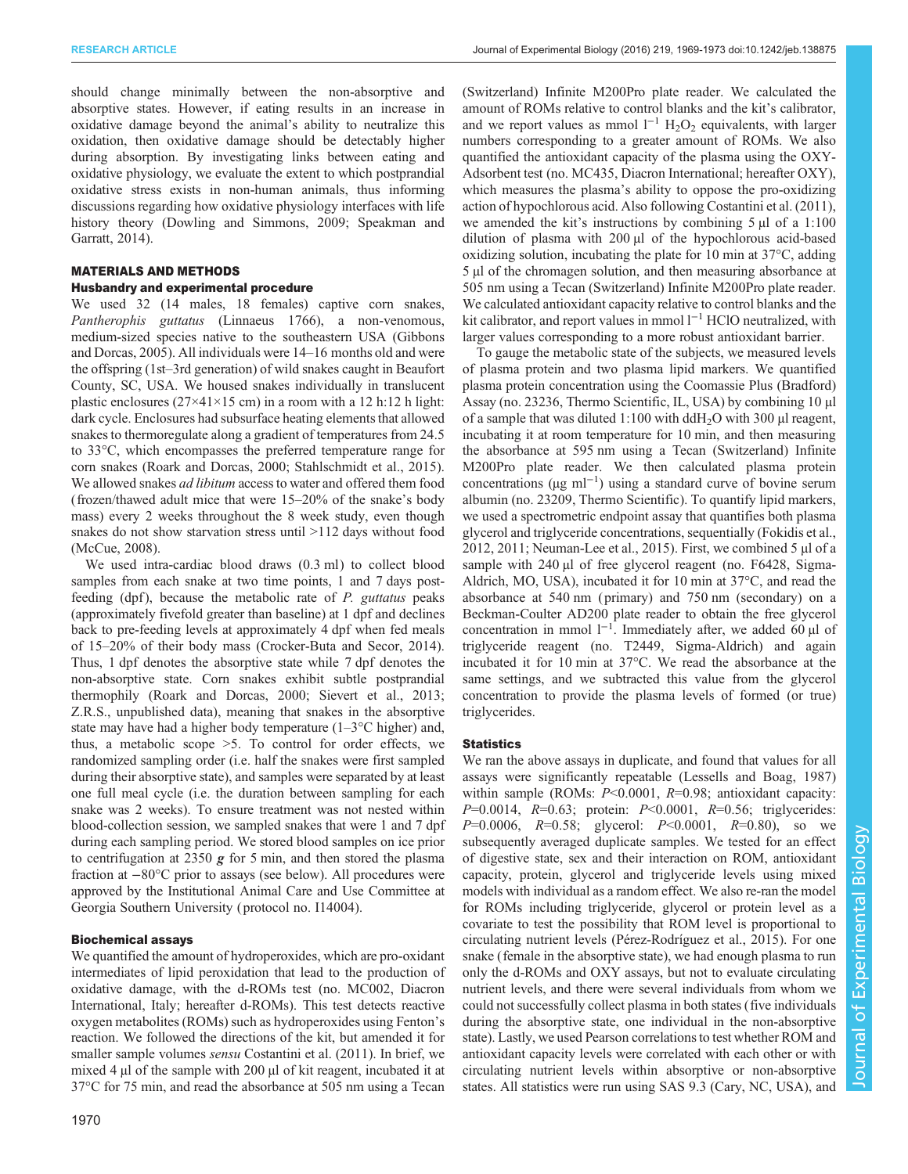should change minimally between the non-absorptive and absorptive states. However, if eating results in an increase in oxidative damage beyond the animal's ability to neutralize this oxidation, then oxidative damage should be detectably higher during absorption. By investigating links between eating and oxidative physiology, we evaluate the extent to which postprandial oxidative stress exists in non-human animals, thus informing discussions regarding how oxidative physiology interfaces with life history theory [\(Dowling and Simmons, 2009](#page-4-0); [Speakman and](#page-4-0) [Garratt, 2014](#page-4-0)).

# MATERIALS AND METHODS

## Husbandry and experimental procedure

We used 32 (14 males, 18 females) captive corn snakes, Pantherophis guttatus (Linnaeus 1766), a non-venomous, medium-sized species native to the southeastern USA ([Gibbons](#page-4-0) [and Dorcas, 2005\)](#page-4-0). All individuals were 14–16 months old and were the offspring (1st–3rd generation) of wild snakes caught in Beaufort County, SC, USA. We housed snakes individually in translucent plastic enclosures  $(27\times41\times15$  cm) in a room with a 12 h:12 h light: dark cycle. Enclosures had subsurface heating elements that allowed snakes to thermoregulate along a gradient of temperatures from 24.5 to 33°C, which encompasses the preferred temperature range for corn snakes [\(Roark and Dorcas, 2000; Stahlschmidt et al., 2015\)](#page-4-0). We allowed snakes *ad libitum* access to water and offered them food (frozen/thawed adult mice that were 15–20% of the snake's body mass) every 2 weeks throughout the 8 week study, even though snakes do not show starvation stress until  $>112$  days without food [\(McCue, 2008\)](#page-4-0).

We used intra-cardiac blood draws (0.3 ml) to collect blood samples from each snake at two time points, 1 and 7 days postfeeding (dpf), because the metabolic rate of P. guttatus peaks (approximately fivefold greater than baseline) at 1 dpf and declines back to pre-feeding levels at approximately 4 dpf when fed meals of 15–20% of their body mass ([Crocker-Buta and Secor, 2014\)](#page-4-0). Thus, 1 dpf denotes the absorptive state while 7 dpf denotes the non-absorptive state. Corn snakes exhibit subtle postprandial thermophily [\(Roark and Dorcas, 2000](#page-4-0); [Sievert et al., 2013](#page-4-0); Z.R.S., unpublished data), meaning that snakes in the absorptive state may have had a higher body temperature  $(1-3\degree C$  higher) and, thus, a metabolic scope >5. To control for order effects, we randomized sampling order (i.e. half the snakes were first sampled during their absorptive state), and samples were separated by at least one full meal cycle (i.e. the duration between sampling for each snake was 2 weeks). To ensure treatment was not nested within blood-collection session, we sampled snakes that were 1 and 7 dpf during each sampling period. We stored blood samples on ice prior to centrifugation at 2350  $g$  for 5 min, and then stored the plasma fraction at −80°C prior to assays (see below). All procedures were approved by the Institutional Animal Care and Use Committee at Georgia Southern University ( protocol no. I14004).

## Biochemical assays

We quantified the amount of hydroperoxides, which are pro-oxidant intermediates of lipid peroxidation that lead to the production of oxidative damage, with the d-ROMs test (no. MC002, Diacron International, Italy; hereafter d-ROMs). This test detects reactive oxygen metabolites (ROMs) such as hydroperoxides using Fenton's reaction. We followed the directions of the kit, but amended it for smaller sample volumes sensu [Costantini et al. \(2011\).](#page-4-0) In brief, we mixed 4 µl of the sample with 200 µl of kit reagent, incubated it at 37°C for 75 min, and read the absorbance at 505 nm using a Tecan

(Switzerland) Infinite M200Pro plate reader. We calculated the amount of ROMs relative to control blanks and the kit's calibrator, and we report values as mmol  $l^{-1}$  H<sub>2</sub>O<sub>2</sub> equivalents, with larger numbers corresponding to a greater amount of ROMs. We also quantified the antioxidant capacity of the plasma using the OXY-Adsorbent test (no. MC435, Diacron International; hereafter OXY), which measures the plasma's ability to oppose the pro-oxidizing action of hypochlorous acid. Also following [Costantini et al. \(2011\),](#page-4-0) we amended the kit's instructions by combining 5 µl of a 1:100 dilution of plasma with 200 µl of the hypochlorous acid-based oxidizing solution, incubating the plate for 10 min at 37°C, adding 5 µl of the chromagen solution, and then measuring absorbance at 505 nm using a Tecan (Switzerland) Infinite M200Pro plate reader. We calculated antioxidant capacity relative to control blanks and the kit calibrator, and report values in mmol l−<sup>1</sup> HClO neutralized, with larger values corresponding to a more robust antioxidant barrier.

To gauge the metabolic state of the subjects, we measured levels of plasma protein and two plasma lipid markers. We quantified plasma protein concentration using the Coomassie Plus (Bradford) Assay (no. 23236, Thermo Scientific, IL, USA) by combining 10 µl of a sample that was diluted  $1:100$  with ddH<sub>2</sub>O with 300 µl reagent, incubating it at room temperature for 10 min, and then measuring the absorbance at 595 nm using a Tecan (Switzerland) Infinite M200Pro plate reader. We then calculated plasma protein concentrations (µg ml−<sup>1</sup> ) using a standard curve of bovine serum albumin (no. 23209, Thermo Scientific). To quantify lipid markers, we used a spectrometric endpoint assay that quantifies both plasma glycerol and triglyceride concentrations, sequentially ([Fokidis et al.,](#page-4-0) [2012, 2011; Neuman-Lee et al., 2015\)](#page-4-0). First, we combined 5 µl of a sample with 240 µl of free glycerol reagent (no. F6428, Sigma-Aldrich, MO, USA), incubated it for 10 min at 37°C, and read the absorbance at 540 nm ( primary) and 750 nm (secondary) on a Beckman-Coulter AD200 plate reader to obtain the free glycerol concentration in mmol  $1^{-1}$ . Immediately after, we added 60 µl of triglyceride reagent (no. T2449, Sigma-Aldrich) and again incubated it for 10 min at 37°C. We read the absorbance at the same settings, and we subtracted this value from the glycerol concentration to provide the plasma levels of formed (or true) triglycerides.

#### **Statistics**

We ran the above assays in duplicate, and found that values for all assays were significantly repeatable [\(Lessells and Boag, 1987\)](#page-4-0) within sample (ROMs:  $P<0.0001$ ,  $R=0.98$ ; antioxidant capacity:  $P=0.0014$ ,  $R=0.63$ ; protein:  $P<0.0001$ ,  $R=0.56$ ; triglycerides:  $P=0.0006$ ,  $R=0.58$ ; glycerol:  $P<0.0001$ ,  $R=0.80$ ), so we subsequently averaged duplicate samples. We tested for an effect of digestive state, sex and their interaction on ROM, antioxidant capacity, protein, glycerol and triglyceride levels using mixed models with individual as a random effect. We also re-ran the model for ROMs including triglyceride, glycerol or protein level as a covariate to test the possibility that ROM level is proportional to circulating nutrient levels ([Pérez-Rodríguez et al., 2015\)](#page-4-0). For one snake (female in the absorptive state), we had enough plasma to run only the d-ROMs and OXY assays, but not to evaluate circulating nutrient levels, and there were several individuals from whom we could not successfully collect plasma in both states (five individuals during the absorptive state, one individual in the non-absorptive state). Lastly, we used Pearson correlations to test whether ROM and antioxidant capacity levels were correlated with each other or with circulating nutrient levels within absorptive or non-absorptive states. All statistics were run using SAS 9.3 (Cary, NC, USA), and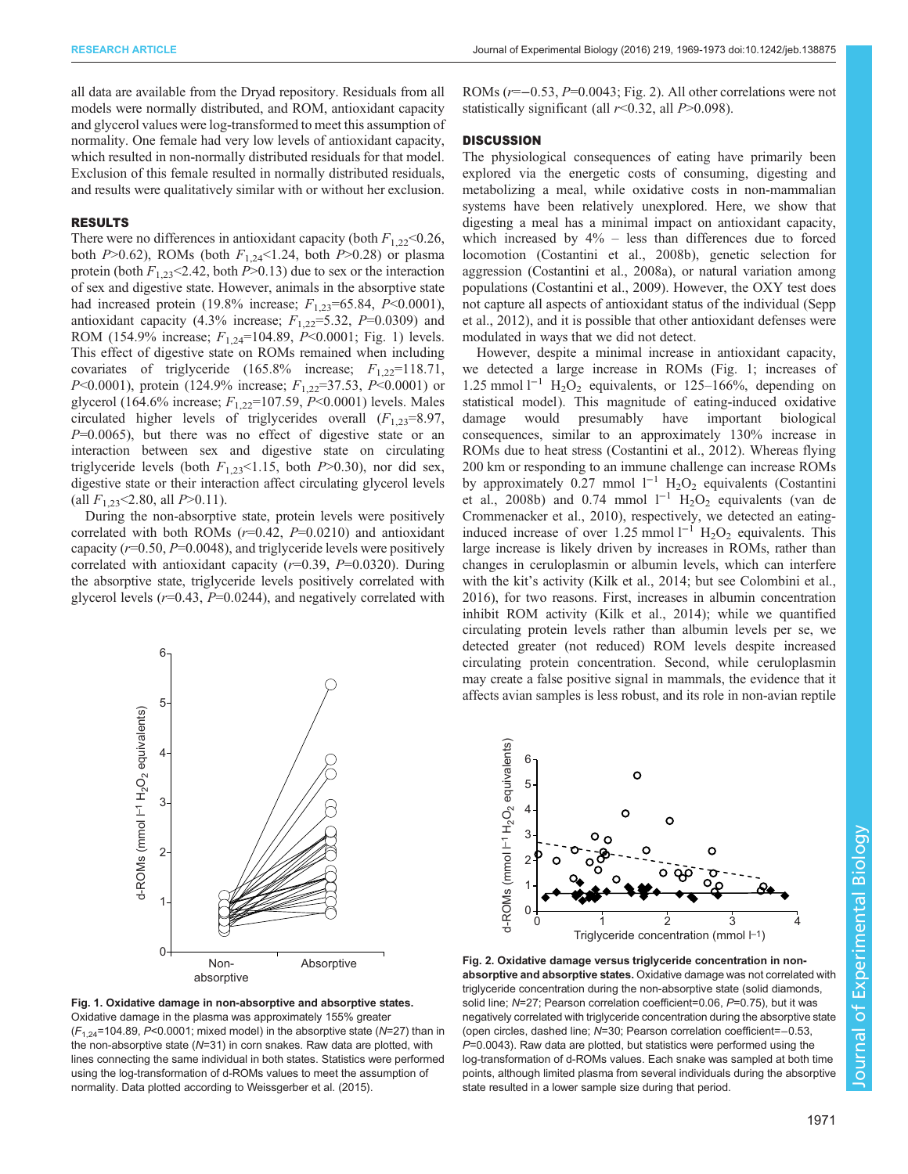all data are available from the Dryad repository. Residuals from all models were normally distributed, and ROM, antioxidant capacity and glycerol values were log-transformed to meet this assumption of normality. One female had very low levels of antioxidant capacity, which resulted in non-normally distributed residuals for that model. Exclusion of this female resulted in normally distributed residuals, and results were qualitatively similar with or without her exclusion.

#### RESULTS

There were no differences in antioxidant capacity (both  $F_{1,22}$  < 0.26, both  $P > 0.62$ ), ROMs (both  $F_{1,24} < 1.24$ , both  $P > 0.28$ ) or plasma protein (both  $F_{1,23}$  < 2.42, both P > 0.13) due to sex or the interaction of sex and digestive state. However, animals in the absorptive state had increased protein (19.8% increase;  $F_{1,23}$ =65.84, P<0.0001), antioxidant capacity (4.3% increase;  $F_{1,22}$ =5.32, P=0.0309) and ROM (154.9% increase;  $F_{1,24}$ =104.89, P<0.0001; Fig. 1) levels. This effect of digestive state on ROMs remained when including covariates of triglyceride  $(165.8\%$  increase;  $F_{1,22}=118.71$ , P<0.0001), protein (124.9% increase;  $F_{1,22}$ =37.53, P<0.0001) or glycerol (164.6% increase;  $F_{1,22}$ =107.59, P<0.0001) levels. Males circulated higher levels of triglycerides overall  $(F_{1,23}=8.97,$  $P=0.0065$ ), but there was no effect of digestive state or an interaction between sex and digestive state on circulating triglyceride levels (both  $F_{1,23}$ <1.15, both  $P$ >0.30), nor did sex, digestive state or their interaction affect circulating glycerol levels (all  $F_{1,23}$ <2.80, all  $P>0.11$ ).

During the non-absorptive state, protein levels were positively correlated with both ROMs  $(r=0.42, P=0.0210)$  and antioxidant capacity ( $r=0.50$ ,  $P=0.0048$ ), and triglyceride levels were positively correlated with antioxidant capacity  $(r=0.39, P=0.0320)$ . During the absorptive state, triglyceride levels positively correlated with glycerol levels  $(r=0.43, P=0.0244)$ , and negatively correlated with



Fig. 1. Oxidative damage in non-absorptive and absorptive states. Oxidative damage in the plasma was approximately 155% greater  $(F<sub>1.24</sub>=104.89, P<0.0001;$  mixed model) in the absorptive state (N=27) than in the non-absorptive state (N=31) in corn snakes. Raw data are plotted, with lines connecting the same individual in both states. Statistics were performed using the log-transformation of d-ROMs values to meet the assumption of normality. Data plotted according to [Weissgerber et al. \(2015\).](#page-4-0)

ROMs (r=−0.53, P=0.0043; Fig. 2). All other correlations were not statistically significant (all  $r<0.32$ , all  $P>0.098$ ).

## **DISCUSSION**

The physiological consequences of eating have primarily been explored via the energetic costs of consuming, digesting and metabolizing a meal, while oxidative costs in non-mammalian systems have been relatively unexplored. Here, we show that digesting a meal has a minimal impact on antioxidant capacity, which increased by  $4\%$  – less than differences due to forced locomotion [\(Costantini et al., 2008b](#page-3-0)), genetic selection for aggression [\(Costantini et al., 2008a\)](#page-3-0), or natural variation among populations ([Costantini et al., 2009\)](#page-3-0). However, the OXY test does not capture all aspects of antioxidant status of the individual [\(Sepp](#page-4-0) [et al., 2012](#page-4-0)), and it is possible that other antioxidant defenses were modulated in ways that we did not detect.

However, despite a minimal increase in antioxidant capacity, we detected a large increase in ROMs (Fig. 1; increases of 1.25 mmol  $l^{-1}$  H<sub>2</sub>O<sub>2</sub> equivalents, or 125–166%, depending on statistical model). This magnitude of eating-induced oxidative damage would presumably have important biological consequences, similar to an approximately 130% increase in ROMs due to heat stress [\(Costantini et al., 2012](#page-4-0)). Whereas flying 200 km or responding to an immune challenge can increase ROMs by approximately 0.27 mmol  $l^{-1}$  H<sub>2</sub>O<sub>2</sub> equivalents ([Costantini](#page-3-0) [et al., 2008b\)](#page-3-0) and 0.74 mmol  $1^{-1}$  H<sub>2</sub>O<sub>2</sub> equivalents ([van de](#page-4-0) [Crommenacker et al., 2010\)](#page-4-0), respectively, we detected an eatinginduced increase of over 1.25 mmol  $l^{-1}$  H<sub>2</sub>O<sub>2</sub> equivalents. This large increase is likely driven by increases in ROMs, rather than changes in ceruloplasmin or albumin levels, which can interfere with the kit's activity [\(Kilk et al., 2014](#page-4-0); but see [Colombini et al.,](#page-3-0) [2016\)](#page-3-0), for two reasons. First, increases in albumin concentration inhibit ROM activity [\(Kilk et al., 2014](#page-4-0)); while we quantified circulating protein levels rather than albumin levels per se, we detected greater (not reduced) ROM levels despite increased circulating protein concentration. Second, while ceruloplasmin may create a false positive signal in mammals, the evidence that it affects avian samples is less robust, and its role in non-avian reptile



Fig. 2. Oxidative damage versus triglyceride concentration in nonabsorptive and absorptive states. Oxidative damage was not correlated with triglyceride concentration during the non-absorptive state (solid diamonds, solid line; N=27; Pearson correlation coefficient=0.06, P=0.75), but it was negatively correlated with triglyceride concentration during the absorptive state (open circles, dashed line; N=30; Pearson correlation coefficient=−0.53, P=0.0043). Raw data are plotted, but statistics were performed using the log-transformation of d-ROMs values. Each snake was sampled at both time points, although limited plasma from several individuals during the absorptive state resulted in a lower sample size during that period.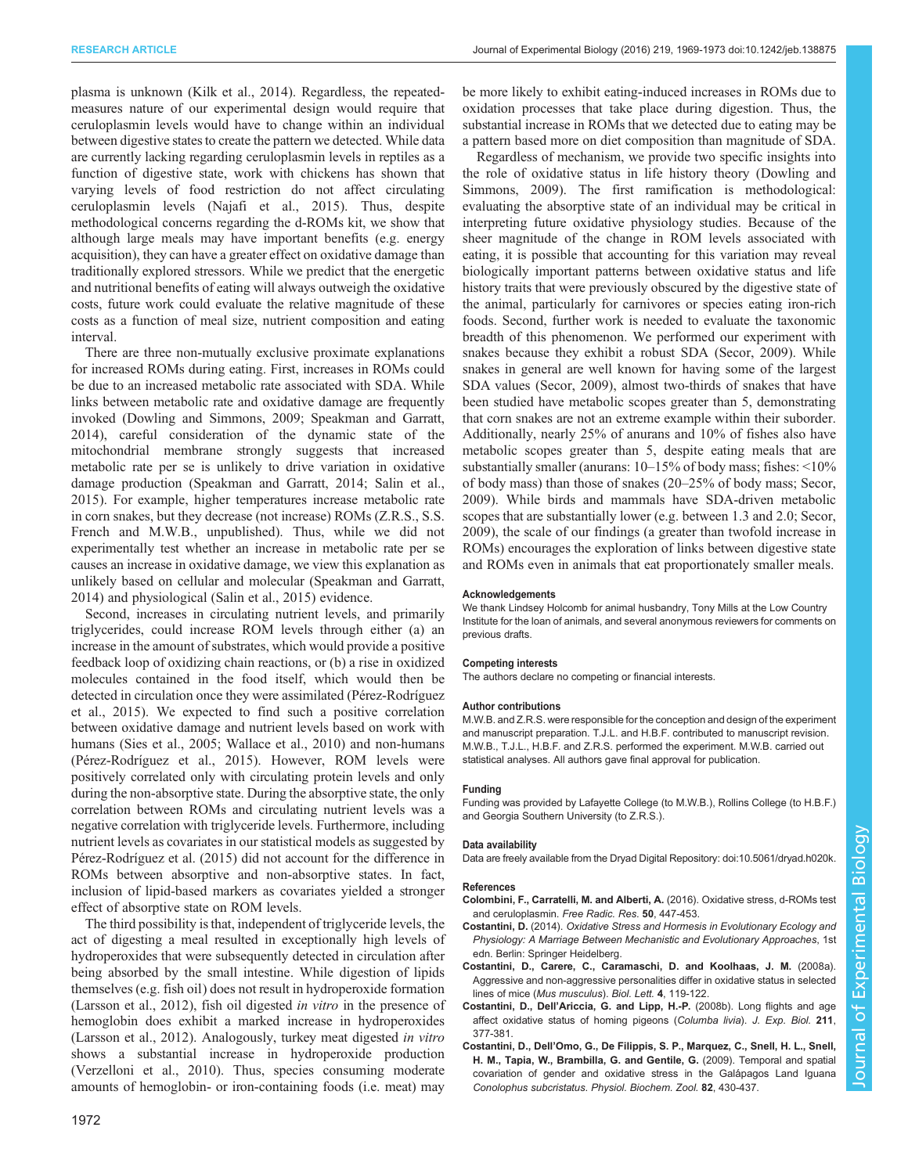<span id="page-3-0"></span>plasma is unknown ([Kilk et al., 2014](#page-4-0)). Regardless, the repeatedmeasures nature of our experimental design would require that ceruloplasmin levels would have to change within an individual between digestive states to create the pattern we detected. While data are currently lacking regarding ceruloplasmin levels in reptiles as a function of digestive state, work with chickens has shown that varying levels of food restriction do not affect circulating ceruloplasmin levels [\(Najafi et al., 2015](#page-4-0)). Thus, despite methodological concerns regarding the d-ROMs kit, we show that although large meals may have important benefits (e.g. energy acquisition), they can have a greater effect on oxidative damage than traditionally explored stressors. While we predict that the energetic and nutritional benefits of eating will always outweigh the oxidative costs, future work could evaluate the relative magnitude of these costs as a function of meal size, nutrient composition and eating interval.

There are three non-mutually exclusive proximate explanations for increased ROMs during eating. First, increases in ROMs could be due to an increased metabolic rate associated with SDA. While links between metabolic rate and oxidative damage are frequently invoked ([Dowling and Simmons, 2009; Speakman and Garratt,](#page-4-0) [2014](#page-4-0)), careful consideration of the dynamic state of the mitochondrial membrane strongly suggests that increased metabolic rate per se is unlikely to drive variation in oxidative damage production ([Speakman and Garratt, 2014; Salin et al.,](#page-4-0) [2015](#page-4-0)). For example, higher temperatures increase metabolic rate in corn snakes, but they decrease (not increase) ROMs (Z.R.S., S.S. French and M.W.B., unpublished). Thus, while we did not experimentally test whether an increase in metabolic rate per se causes an increase in oxidative damage, we view this explanation as unlikely based on cellular and molecular ([Speakman and Garratt,](#page-4-0) [2014](#page-4-0)) and physiological [\(Salin et al., 2015\)](#page-4-0) evidence.

Second, increases in circulating nutrient levels, and primarily triglycerides, could increase ROM levels through either (a) an increase in the amount of substrates, which would provide a positive feedback loop of oxidizing chain reactions, or (b) a rise in oxidized molecules contained in the food itself, which would then be detected in circulation once they were assimilated [\(Pérez-Rodríguez](#page-4-0) [et al., 2015](#page-4-0)). We expected to find such a positive correlation between oxidative damage and nutrient levels based on work with humans ([Sies et al., 2005; Wallace et al., 2010\)](#page-4-0) and non-humans [\(Pérez-Rodríguez et al., 2015\)](#page-4-0). However, ROM levels were positively correlated only with circulating protein levels and only during the non-absorptive state. During the absorptive state, the only correlation between ROMs and circulating nutrient levels was a negative correlation with triglyceride levels. Furthermore, including nutrient levels as covariates in our statistical models as suggested by [Pérez-Rodríguez et al. \(2015\)](#page-4-0) did not account for the difference in ROMs between absorptive and non-absorptive states. In fact, inclusion of lipid-based markers as covariates yielded a stronger effect of absorptive state on ROM levels.

The third possibility is that, independent of triglyceride levels, the act of digesting a meal resulted in exceptionally high levels of hydroperoxides that were subsequently detected in circulation after being absorbed by the small intestine. While digestion of lipids themselves (e.g. fish oil) does not result in hydroperoxide formation [\(Larsson et al., 2012](#page-4-0)), fish oil digested in vitro in the presence of hemoglobin does exhibit a marked increase in hydroperoxides [\(Larsson et al., 2012\)](#page-4-0). Analogously, turkey meat digested in vitro shows a substantial increase in hydroperoxide production [\(Verzelloni et al., 2010\)](#page-4-0). Thus, species consuming moderate amounts of hemoglobin- or iron-containing foods (i.e. meat) may

be more likely to exhibit eating-induced increases in ROMs due to oxidation processes that take place during digestion. Thus, the substantial increase in ROMs that we detected due to eating may be a pattern based more on diet composition than magnitude of SDA.

Regardless of mechanism, we provide two specific insights into the role of oxidative status in life history theory [\(Dowling and](#page-4-0) [Simmons, 2009\)](#page-4-0). The first ramification is methodological: evaluating the absorptive state of an individual may be critical in interpreting future oxidative physiology studies. Because of the sheer magnitude of the change in ROM levels associated with eating, it is possible that accounting for this variation may reveal biologically important patterns between oxidative status and life history traits that were previously obscured by the digestive state of the animal, particularly for carnivores or species eating iron-rich foods. Second, further work is needed to evaluate the taxonomic breadth of this phenomenon. We performed our experiment with snakes because they exhibit a robust SDA [\(Secor, 2009\)](#page-4-0). While snakes in general are well known for having some of the largest SDA values [\(Secor, 2009\)](#page-4-0), almost two-thirds of snakes that have been studied have metabolic scopes greater than 5, demonstrating that corn snakes are not an extreme example within their suborder. Additionally, nearly 25% of anurans and 10% of fishes also have metabolic scopes greater than 5, despite eating meals that are substantially smaller (anurans: 10–15% of body mass; fishes: <10% of body mass) than those of snakes (20–25% of body mass; [Secor,](#page-4-0) [2009\)](#page-4-0). While birds and mammals have SDA-driven metabolic scopes that are substantially lower (e.g. between 1.3 and 2.0; [Secor,](#page-4-0) [2009\)](#page-4-0), the scale of our findings (a greater than twofold increase in ROMs) encourages the exploration of links between digestive state and ROMs even in animals that eat proportionately smaller meals.

#### **Acknowledgements**

We thank Lindsey Holcomb for animal husbandry, Tony Mills at the Low Country Institute for the loan of animals, and several anonymous reviewers for comments on previous drafts.

#### Competing interests

The authors declare no competing or financial interests.

#### Author contributions

M.W.B. and Z.R.S. were responsible for the conception and design of the experiment and manuscript preparation. T.J.L. and H.B.F. contributed to manuscript revision. M.W.B., T.J.L., H.B.F. and Z.R.S. performed the experiment. M.W.B. carried out statistical analyses. All authors gave final approval for publication.

#### Funding

Funding was provided by Lafayette College (to M.W.B.), Rollins College (to H.B.F.) and Georgia Southern University (to Z.R.S.).

### Data availability

Data are freely available from the Dryad Digital Repository: [doi:10.5061/dryad.h020k](http://dx.doi.org/10.5061/dryad.h020k).

#### References

- [Colombini, F., Carratelli, M. and Alberti, A.](http://dx.doi.org/10.3109/10715762.2015.1136063) (2016). Oxidative stress, d-ROMs test [and ceruloplasmin.](http://dx.doi.org/10.3109/10715762.2015.1136063) Free Radic. Res. 50, 447-453.
- Costantini, D. (2014). Oxidative Stress and Hormesis in Evolutionary Ecology and Physiology: A Marriage Between Mechanistic and Evolutionary Approaches, 1st edn. Berlin: Springer Heidelberg.
- [Costantini, D., Carere, C., Caramaschi, D. and Koolhaas, J. M.](http://dx.doi.org/10.1098/rsbl.2007.0513) (2008a). [Aggressive and non-aggressive personalities differ in oxidative status in selected](http://dx.doi.org/10.1098/rsbl.2007.0513) lines of mice ([Mus musculus](http://dx.doi.org/10.1098/rsbl.2007.0513)). Biol. Lett. 4, 119-122.
- Costantini, D., Dell'Ariccia, G. and Lipp, H.-P. [\(2008b\). Long flights and age](http://dx.doi.org/10.1242/jeb.012856) [affect oxidative status of homing pigeons \(](http://dx.doi.org/10.1242/jeb.012856)Columba livia). J. Exp. Biol. 211, [377-381.](http://dx.doi.org/10.1242/jeb.012856)
- Costantini, D., Dell'[Omo, G., De Filippis, S. P., Marquez, C., Snell, H. L., Snell,](http://dx.doi.org/10.1086/604668) [H. M., Tapia, W., Brambilla, G. and Gentile, G.](http://dx.doi.org/10.1086/604668) (2009). Temporal and spatial covariation of gender and oxidative stress in the Galápagos Land Iguana [Conolophus subcristatus](http://dx.doi.org/10.1086/604668). Physiol. Biochem. Zool. 82, 430-437.